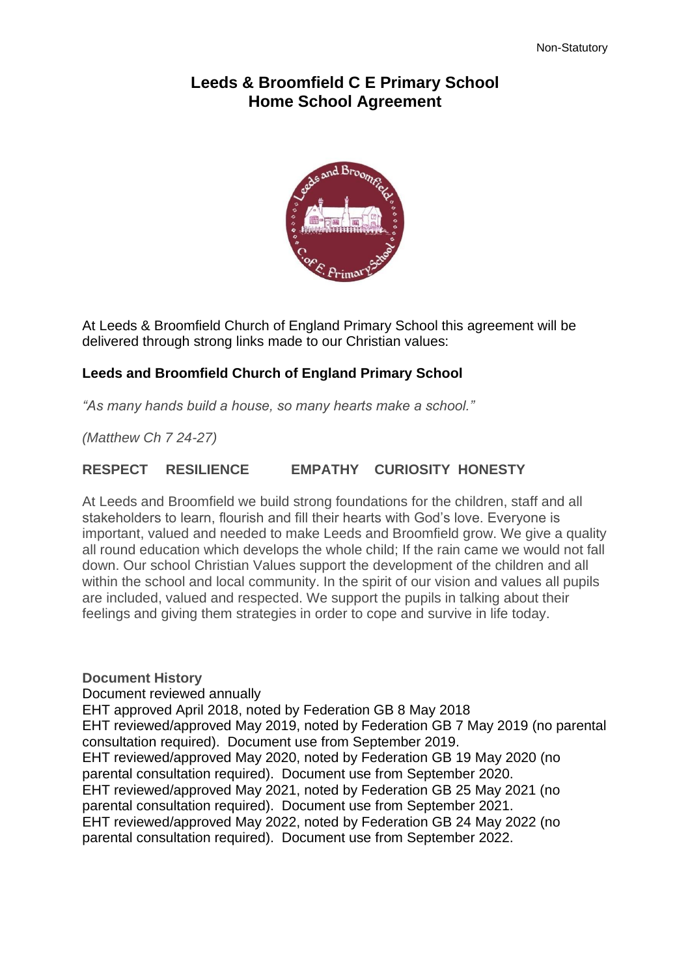# **Leeds & Broomfield C E Primary School Home School Agreement**



At Leeds & Broomfield Church of England Primary School this agreement will be delivered through strong links made to our Christian values:

# **Leeds and Broomfield Church of England Primary School**

*"As many hands build a house, so many hearts make a school."*

*(Matthew Ch 7 24-27)*

# **RESPECT RESILIENCE EMPATHY CURIOSITY HONESTY**

At Leeds and Broomfield we build strong foundations for the children, staff and all stakeholders to learn, flourish and fill their hearts with God's love. Everyone is important, valued and needed to make Leeds and Broomfield grow. We give a quality all round education which develops the whole child; If the rain came we would not fall down. Our school Christian Values support the development of the children and all within the school and local community. In the spirit of our vision and values all pupils are included, valued and respected. We support the pupils in talking about their feelings and giving them strategies in order to cope and survive in life today.

**Document History** Document reviewed annually EHT approved April 2018, noted by Federation GB 8 May 2018 EHT reviewed/approved May 2019, noted by Federation GB 7 May 2019 (no parental consultation required). Document use from September 2019. EHT reviewed/approved May 2020, noted by Federation GB 19 May 2020 (no parental consultation required). Document use from September 2020. EHT reviewed/approved May 2021, noted by Federation GB 25 May 2021 (no parental consultation required). Document use from September 2021. EHT reviewed/approved May 2022, noted by Federation GB 24 May 2022 (no parental consultation required). Document use from September 2022.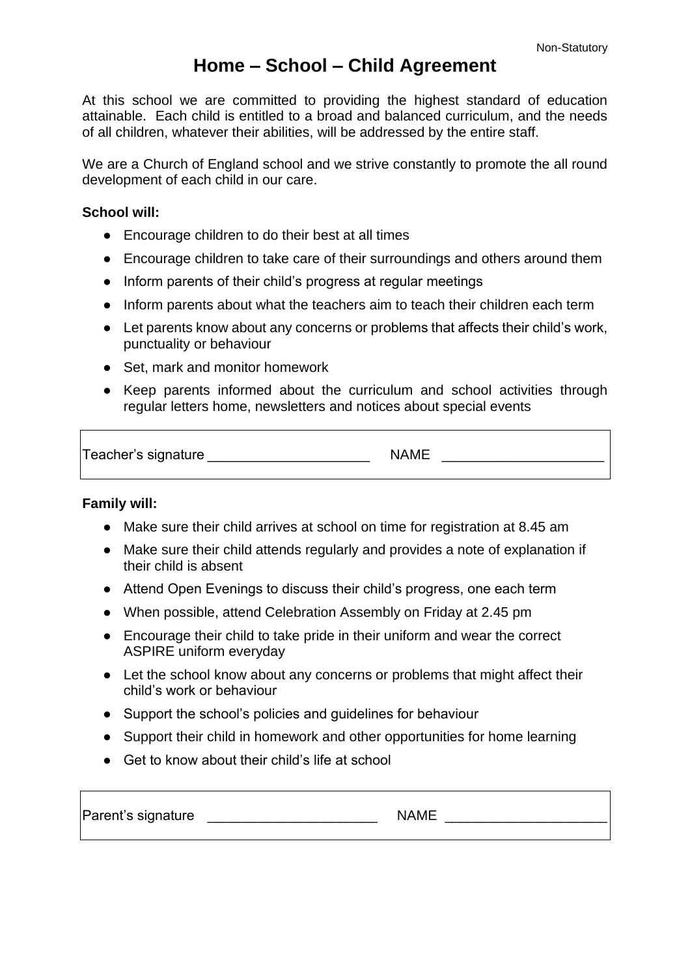# **Home – School – Child Agreement**

At this school we are committed to providing the highest standard of education attainable. Each child is entitled to a broad and balanced curriculum, and the needs of all children, whatever their abilities, will be addressed by the entire staff.

We are a Church of England school and we strive constantly to promote the all round development of each child in our care.

### **School will:**

- Encourage children to do their best at all times
- Encourage children to take care of their surroundings and others around them
- Inform parents of their child's progress at regular meetings
- Inform parents about what the teachers aim to teach their children each term
- Let parents know about any concerns or problems that affects their child's work, punctuality or behaviour
- Set, mark and monitor homework
- Keep parents informed about the curriculum and school activities through regular letters home, newsletters and notices about special events

| Teacher's signature<br>. |  |
|--------------------------|--|
|                          |  |

#### **Family will:**

- Make sure their child arrives at school on time for registration at 8.45 am
- Make sure their child attends regularly and provides a note of explanation if their child is absent
- Attend Open Evenings to discuss their child's progress, one each term
- When possible, attend Celebration Assembly on Friday at 2.45 pm
- Encourage their child to take pride in their uniform and wear the correct ASPIRE uniform everyday
- Let the school know about any concerns or problems that might affect their child's work or behaviour
- Support the school's policies and guidelines for behaviour
- Support their child in homework and other opportunities for home learning
- Get to know about their child's life at school

Parent's signature \_\_\_\_\_\_\_\_\_\_\_\_\_\_\_\_\_\_\_\_\_\_ NAME \_\_\_\_\_\_\_\_\_\_\_\_\_\_\_\_\_\_\_\_\_